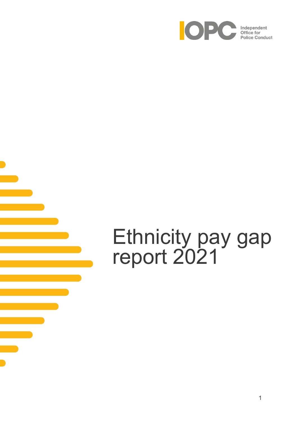

# Ethnicity pay gap report 2021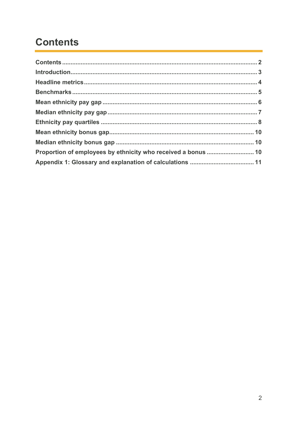# <span id="page-1-0"></span>**Contents**

| Proportion of employees by ethnicity who received a bonus  10 |  |
|---------------------------------------------------------------|--|
|                                                               |  |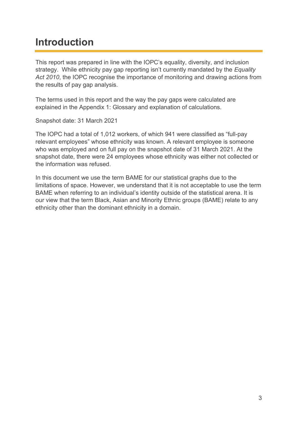### <span id="page-2-0"></span>**Introduction**

This report was prepared in line with the IOPC's equality, diversity, and inclusion strategy. While ethnicity pay gap reporting isn't currently mandated by the *Equality*  Act 2010, the IOPC recognise the importance of monitoring and drawing actions from the results of pay gap analysis.

The terms used in this report and the way the pay gaps were calculated are explained in the Appendix 1: Glossary and explanation of calculations.

Snapshot date: 31 March 2021

The IOPC had a total of 1,012 workers, of which 941 were classified as "full-pay relevant employees" whose ethnicity was known. A relevant employee is someone who was employed and on full pay on the snapshot date of 31 March 2021. At the snapshot date, there were 24 employees whose ethnicity was either not collected or the information was refused.

In this document we use the term BAME for our statistical graphs due to the limitations of space. However, we understand that it is not acceptable to use the term BAME when referring to an individual's identity outside of the statistical arena. It is our view that the term Black, Asian and Minority Ethnic groups (BAME) relate to any ethnicity other than the dominant ethnicity in a domain.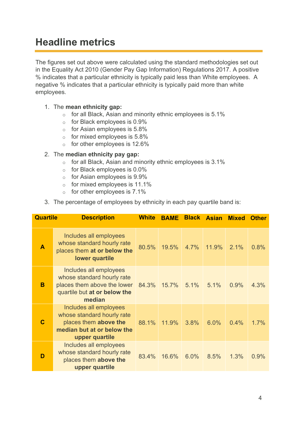### <span id="page-3-0"></span>**Headline metrics**

The figures set out above were calculated using the standard methodologies set out in the Equality Act 2010 (Gender Pay Gap Information) Regulations 2017. A positive % indicates that a particular ethnicity is typically paid less than White employees. A negative % indicates that a particular ethnicity is typically paid more than white employees.

#### 1. The **mean ethnicity gap:**

- o for all Black, Asian and minority ethnic employees is 5.1%
- o for Black employees is 0.9%
- $\circ$  for Asian employees is 5.8%
- $\circ$  for mixed employees is 5.8%
- $\circ$  for other employees is 12.6%

#### 2. The **median ethnicity pay gap:**

- $\circ$  for all Black, Asian and minority ethnic employees is 3.1%
- o for Black employees is 0.0%
- $\circ$  for Asian employees is 9.9%
- $\circ$  for mixed employees is 11.1%
- $\circ$  for other employees is 7.1%
- 3. The percentage of employees by ethnicity in each pay quartile band is:

| <b>Quartile</b> | <b>Description</b>                                                                                                            | <b>White</b> | <b>BAME</b> | <b>Black</b> | <b>Asian</b> | <b>Mixed</b> | <b>Other</b> |
|-----------------|-------------------------------------------------------------------------------------------------------------------------------|--------------|-------------|--------------|--------------|--------------|--------------|
| $\mathbf{A}$    | Includes all employees<br>whose standard hourly rate<br>places them at or below the<br>lower quartile                         | 80.5%        | 19.5%       | 4.7%         | 11.9%        | 2.1%         | 0.8%         |
| B               | Includes all employees<br>whose standard hourly rate<br>places them above the lower<br>quartile but at or below the<br>median | 84.3%        | 15.7%       | $5.1\%$      | 5.1%         | 0.9%         | 4.3%         |
| $\mathbf C$     | Includes all employees<br>whose standard hourly rate<br>places them above the<br>median but at or below the<br>upper quartile | 88.1%        | 11.9%       | 3.8%         | 6.0%         | 0.4%         | 1.7%         |
| D               | Includes all employees<br>whose standard hourly rate<br>places them above the<br>upper quartile                               | 83.4%        | 16.6%       | 6.0%         | 8.5%         | 1.3%         | 0.9%         |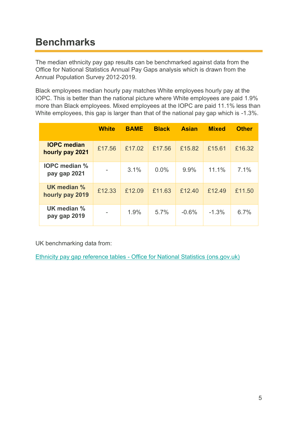# <span id="page-4-0"></span>**Benchmarks**

The median ethnicity pay gap results can be benchmarked against data from the Office for National Statistics Annual Pay Gaps analysis which is drawn from the Annual Population Survey 2012-2019.

Black employees median hourly pay matches White employees hourly pay at the IOPC. This is better than the national picture where White employees are paid 1.9% more than Black employees. Mixed employees at the IOPC are paid 11.1% less than White employees, this gap is larger than that of the national pay gap which is -1.3%.

|                                       | <b>White</b> | <b>BAME</b> | <b>Black</b> | <b>Asian</b> | <b>Mixed</b> | <b>Other</b> |
|---------------------------------------|--------------|-------------|--------------|--------------|--------------|--------------|
| <b>IOPC</b> median<br>hourly pay 2021 | £17.56       | £17.02      | £17.56       | £15.82       | £15.61       | £16.32       |
| <b>IOPC</b> median %<br>pay gap 2021  |              | 3.1%        | 0.0%         | 9.9%         | 11.1%        | 7.1%         |
| UK median %<br>hourly pay 2019        | £12.33       | £12.09      | £11.63       | £12.40       | £12.49       | £11.50       |
| UK median %<br>pay gap 2019           |              | 1.9%        | 5.7%         | $-0.6%$      | $-1.3%$      | 6.7%         |

UK benchmarking data from:

Ethnicity pay gap reference tables - [Office for National Statistics \(ons.gov.uk\)](https://www.ons.gov.uk/employmentandlabourmarket/peopleinwork/earningsandworkinghours/datasets/ethnicitypaygapreferencetables)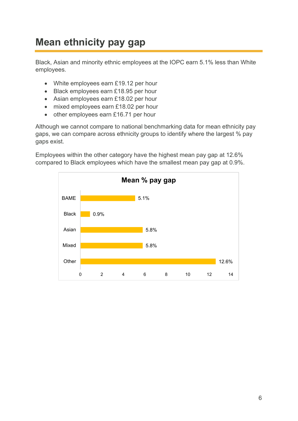# <span id="page-5-0"></span>**Mean ethnicity pay gap**

Black, Asian and minority ethnic employees at the IOPC earn 5.1% less than White employees.

- White employees earn £19.12 per hour
- Black employees earn £18.95 per hour
- Asian employees earn £18.02 per hour
- mixed employees earn £18.02 per hour
- other employees earn £16.71 per hour

Although we cannot compare to national benchmarking data for mean ethnicity pay gaps, we can compare across ethnicity groups to identify where the largest % pay gaps exist.

Employees within the other category have the highest mean pay gap at 12.6% compared to Black employees which have the smallest mean pay gap at 0.9%.

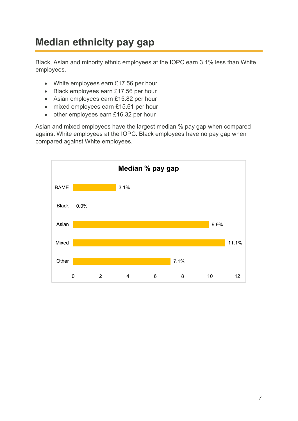# <span id="page-6-0"></span>**Median ethnicity pay gap**

Black, Asian and minority ethnic employees at the IOPC earn 3.1% less than White employees.

- White employees earn £17.56 per hour
- Black employees earn £17.56 per hour
- Asian employees earn £15.82 per hour
- mixed employees earn £15.61 per hour
- other employees earn £16.32 per hour

Asian and mixed employees have the largest median % pay gap when compared against White employees at the IOPC. Black employees have no pay gap when compared against White employees.

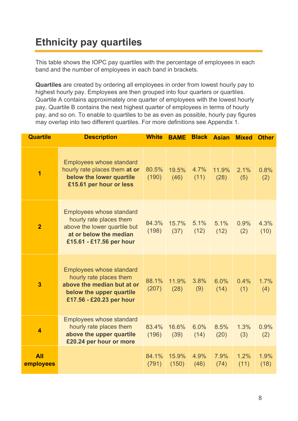# <span id="page-7-0"></span>**Ethnicity pay quartiles**

This table shows the IOPC pay quartiles with the percentage of employees in each band and the number of employees in each band in brackets.

**Quartiles** are created by ordering all employees in order from lowest hourly pay to highest hourly pay. Employees are then grouped into four quarters or quartiles. Quartile A contains approximately one quarter of employees with the lowest hourly pay, Quartile B contains the next highest quarter of employees in terms of hourly pay, and so on. To enable to quartiles to be as even as possible, hourly pay figures may overlap into two different quartiles. For more definitions see Appendix 1.

| <b>Quartile</b>         | <b>Description</b>                                                                                                                               | <b>White</b>   | <b>BAME</b>    | <b>Black</b> | <b>Asian</b>  | <b>Mixed</b> | <b>Other</b> |
|-------------------------|--------------------------------------------------------------------------------------------------------------------------------------------------|----------------|----------------|--------------|---------------|--------------|--------------|
| $\overline{1}$          | <b>Employees whose standard</b><br>hourly rate places them at or<br>below the lower quartile<br>£15.61 per hour or less                          | 80.5%<br>(190) | 19.5%<br>(46)  | 4.7%<br>(11) | 11.9%<br>(28) | 2.1%<br>(5)  | 0.8%<br>(2)  |
| $\overline{2}$          | <b>Employees whose standard</b><br>hourly rate places them<br>above the lower quartile but<br>at or below the median<br>£15.61 - £17.56 per hour | 84.3%<br>(198) | 15.7%<br>(37)  | 5.1%<br>(12) | 5.1%<br>(12)  | 0.9%<br>(2)  | 4.3%<br>(10) |
| $\overline{\mathbf{3}}$ | <b>Employees whose standard</b><br>hourly rate places them<br>above the median but at or<br>below the upper quartile<br>£17.56 - £20.23 per hour | 88.1%<br>(207) | 11.9%<br>(28)  | 3.8%<br>(9)  | 6.0%<br>(14)  | 0.4%<br>(1)  | 1.7%<br>(4)  |
| $\overline{\mathbf{4}}$ | <b>Employees whose standard</b><br>hourly rate places them<br>above the upper quartile<br>£20.24 per hour or more                                | 83.4%<br>(196) | 16.6%<br>(39)  | 6.0%<br>(14) | 8.5%<br>(20)  | 1.3%<br>(3)  | 0.9%<br>(2)  |
| <b>All</b><br>employees |                                                                                                                                                  | 84.1%<br>(791) | 15.9%<br>(150) | 4.9%<br>(46) | 7.9%<br>(74)  | 1.2%<br>(11) | 1.9%<br>(18) |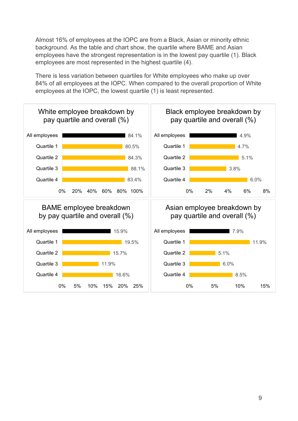Almost 16% of employees at the IOPC are from a Black, Asian or minority ethnic background. As the table and chart show, the quartile where BAME and Asian employees have the strongest representation is in the lowest pay quartile (1). Black employees are most represented in the highest quartile (4).

There is less variation between quartiles for White employees who make up over 84% of all employees at the IOPC. When compared to the overall proportion of White employees at the IOPC, the lowest quartile (1) is least represented.

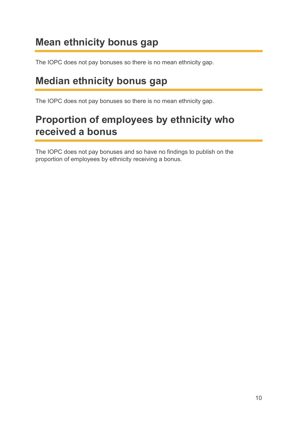### <span id="page-9-0"></span>**Mean ethnicity bonus gap**

The IOPC does not pay bonuses so there is no mean ethnicity gap.

### <span id="page-9-1"></span>**Median ethnicity bonus gap**

The IOPC does not pay bonuses so there is no mean ethnicity gap.

### <span id="page-9-2"></span>**Proportion of employees by ethnicity who received a bonus**

The IOPC does not pay bonuses and so have no findings to publish on the proportion of employees by ethnicity receiving a bonus.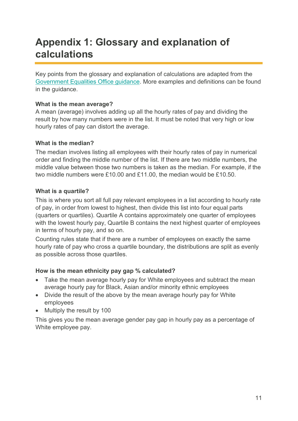### <span id="page-10-0"></span>**Appendix 1: Glossary and explanation of calculations**

Key points from the glossary and explanation of calculations are adapted from the [Government Equalities Office guidance.](https://www.gov.uk/guidance/making-your-gender-pay-gap-calculations) More examples and definitions can be found in the guidance.

#### **What is the mean average?**

A mean (average) involves adding up all the hourly rates of pay and dividing the result by how many numbers were in the list. It must be noted that very high or low hourly rates of pay can distort the average.

#### **What is the median?**

The median involves listing all employees with their hourly rates of pay in numerical order and finding the middle number of the list. If there are two middle numbers, the middle value between those two numbers is taken as the median. For example, if the two middle numbers were £10.00 and £11.00, the median would be £10.50.

#### **What is a quartile?**

This is where you sort all full pay relevant employees in a list according to hourly rate of pay, in order from lowest to highest, then divide this list into four equal parts (quarters or quartiles). Quartile A contains approximately one quarter of employees with the lowest hourly pay, Quartile B contains the next highest quarter of employees in terms of hourly pay, and so on.

Counting rules state that if there are a number of employees on exactly the same hourly rate of pay who cross a quartile boundary, the distributions are split as evenly as possible across those quartiles.

### **How is the mean ethnicity pay gap % calculated?**

- Take the mean average hourly pay for White employees and subtract the mean average hourly pay for Black, Asian and/or minority ethnic employees
- Divide the result of the above by the mean average hourly pay for White employees
- Multiply the result by 100

This gives you the mean average gender pay gap in hourly pay as a percentage of White employee pay.